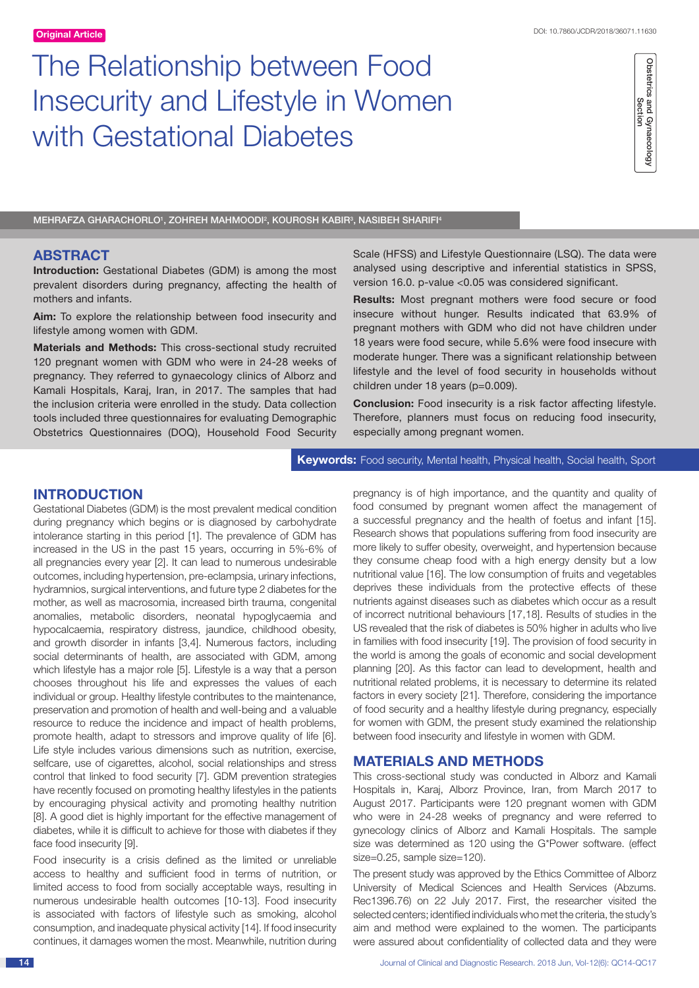# The Relationship between Food Insecurity and Lifestyle in Women with Gestational Diabetes

Obstetrics and Gynaecology<br>Section Obstetrics and Gynaecology<br>Section

MEHRAFZA GHARACHORLOʻ, ZOHREH MAHMOODI<sup>2</sup>, KOUROSH KABIR<sup>3</sup>, NASIBEH SHARIFI<del>ʻ</del>

# **ABSTRACT**

**Introduction:** Gestational Diabetes (GDM) is among the most prevalent disorders during pregnancy, affecting the health of mothers and infants.

**Aim:** To explore the relationship between food insecurity and lifestyle among women with GDM.

**Materials and Methods:** This cross-sectional study recruited 120 pregnant women with GDM who were in 24-28 weeks of pregnancy. They referred to gynaecology clinics of Alborz and Kamali Hospitals, Karaj, Iran, in 2017. The samples that had the inclusion criteria were enrolled in the study. Data collection tools included three questionnaires for evaluating Demographic Obstetrics Questionnaires (DOQ), Household Food Security Scale (HFSS) and Lifestyle Questionnaire (LSQ). The data were analysed using descriptive and inferential statistics in SPSS, version 16.0. p-value <0.05 was considered significant.

**Results:** Most pregnant mothers were food secure or food insecure without hunger. Results indicated that 63.9% of pregnant mothers with GDM who did not have children under 18 years were food secure, while 5.6% were food insecure with moderate hunger. There was a significant relationship between lifestyle and the level of food security in households without children under 18 years (p=0.009).

**Conclusion:** Food insecurity is a risk factor affecting lifestyle. Therefore, planners must focus on reducing food insecurity, especially among pregnant women.

**Keywords:** Food security, Mental health, Physical health, Social health, Sport

# **Introduction**

Gestational Diabetes (GDM) is the most prevalent medical condition during pregnancy which begins or is diagnosed by carbohydrate intolerance starting in this period [1]. The prevalence of GDM has increased in the US in the past 15 years, occurring in 5%-6% of all pregnancies every year [2]. It can lead to numerous undesirable outcomes, including hypertension, pre-eclampsia, urinary infections, hydramnios, surgical interventions, and future type 2 diabetes for the mother, as well as macrosomia, increased birth trauma, congenital anomalies, metabolic disorders, neonatal hypoglycaemia and hypocalcaemia, respiratory distress, jaundice, childhood obesity, and growth disorder in infants [3,4]. Numerous factors, including social determinants of health, are associated with GDM, among which lifestyle has a major role [5]. Lifestyle is a way that a person chooses throughout his life and expresses the values of each individual or group. Healthy lifestyle contributes to the maintenance, preservation and promotion of health and well-being and a valuable resource to reduce the incidence and impact of health problems, promote health, adapt to stressors and improve quality of life [6]. Life style includes various dimensions such as nutrition, exercise, selfcare, use of cigarettes, alcohol, social relationships and stress control that linked to food security [7]. GDM prevention strategies have recently focused on promoting healthy lifestyles in the patients by encouraging physical activity and promoting healthy nutrition [8]. A good diet is highly important for the effective management of diabetes, while it is difficult to achieve for those with diabetes if they face food insecurity [9].

Food insecurity is a crisis defined as the limited or unreliable access to healthy and sufficient food in terms of nutrition, or limited access to food from socially acceptable ways, resulting in numerous undesirable health outcomes [10-13]. Food insecurity is associated with factors of lifestyle such as smoking, alcohol consumption, and inadequate physical activity [14]. If food insecurity continues, it damages women the most. Meanwhile, nutrition during pregnancy is of high importance, and the quantity and quality of food consumed by pregnant women affect the management of a successful pregnancy and the health of foetus and infant [15]. Research shows that populations suffering from food insecurity are more likely to suffer obesity, overweight, and hypertension because they consume cheap food with a high energy density but a low nutritional value [16]. The low consumption of fruits and vegetables deprives these individuals from the protective effects of these nutrients against diseases such as diabetes which occur as a result of incorrect nutritional behaviours [17,18]. Results of studies in the US revealed that the risk of diabetes is 50% higher in adults who live in families with food insecurity [19]. The provision of food security in the world is among the goals of economic and social development planning [20]. As this factor can lead to development, health and nutritional related problems, it is necessary to determine its related factors in every society [21]. Therefore, considering the importance of food security and a healthy lifestyle during pregnancy, especially for women with GDM, the present study examined the relationship between food insecurity and lifestyle in women with GDM.

# **Materials and Methods**

This cross-sectional study was conducted in Alborz and Kamali Hospitals in, Karaj, Alborz Province, Iran, from March 2017 to August 2017. Participants were 120 pregnant women with GDM who were in 24-28 weeks of pregnancy and were referred to gynecology clinics of Alborz and Kamali Hospitals. The sample size was determined as 120 using the G\*Power software. (effect size=0.25, sample size=120).

The present study was approved by the Ethics Committee of Alborz University of Medical Sciences and Health Services (Abzums. Rec1396.76) on 22 July 2017. First, the researcher visited the selected centers; identified individuals who met the criteria, the study's aim and method were explained to the women. The participants were assured about confidentiality of collected data and they were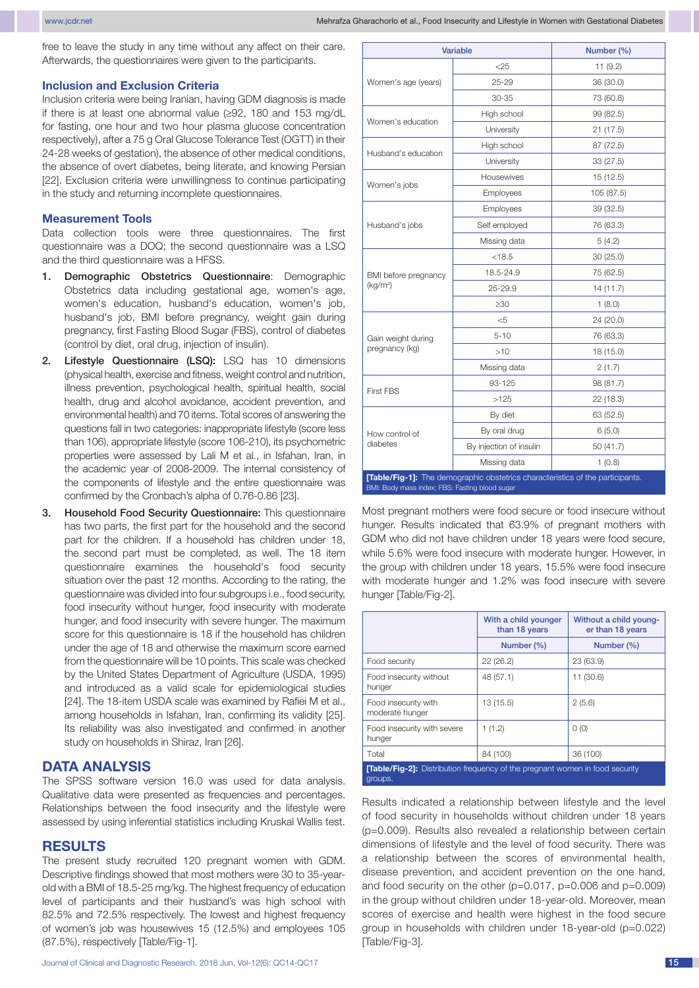free to leave the study in any time without any affect on their care. Afterwards, the questionnaires were given to the participants.

#### **Inclusion and Exclusion Criteria**

Inclusion criteria were being Iranian, having GDM diagnosis is made if there is at least one abnormal value (≥92, 180 and 153 mg/dL for fasting, one hour and two hour plasma glucose concentration respectively), after a 75 g Oral Glucose Tolerance Test (OGTT) in their 24-28 weeks of gestation), the absence of other medical conditions, the absence of overt diabetes, being literate, and knowing Persian [22]. Exclusion criteria were unwillingness to continue participating in the study and returning incomplete questionnaires.

#### **Measurement Tools**

Data collection tools were three questionnaires. The first questionnaire was a DOQ; the second questionnaire was a LSQ and the third questionnaire was a HFSS.

- 1. Demographic Obstetrics Questionnaire: Demographic Obstetrics data including gestational age, women's age, women's education, husband's education, women's job, husband's job, BMI before pregnancy, weight gain during pregnancy, first Fasting Blood Sugar (FBS), control of diabetes (control by diet, oral drug, injection of insulin).
- 2. Lifestyle Questionnaire (LSQ): LSQ has 10 dimensions (physical health, exercise and fitness, weight control and nutrition, illness prevention, psychological health, spiritual health, social health, drug and alcohol avoidance, accident prevention, and environmental health) and 70 items. Total scores of answering the questions fall in two categories: inappropriate lifestyle (score less than 106), appropriate lifestyle (score 106-210), its psychometric properties were assessed by Lali M et al., in Isfahan, Iran, in the academic year of 2008-2009. The internal consistency of the components of lifestyle and the entire questionnaire was confirmed by the Cronbach's alpha of 0.76-0.86 [23].
- 3. Household Food Security Questionnaire: This questionnaire has two parts, the first part for the household and the second part for the children. If a household has children under 18, the second part must be completed, as well. The 18 item questionnaire examines the household's food security situation over the past 12 months. According to the rating, the questionnaire was divided into four subgroups i.e., food security, food insecurity without hunger, food insecurity with moderate hunger, and food insecurity with severe hunger. The maximum score for this questionnaire is 18 if the household has children under the age of 18 and otherwise the maximum score earned from the questionnaire will be 10 points. This scale was checked by the United States Department of Agriculture (USDA, 1995) and introduced as a valid scale for epidemiological studies [24]. The 18-item USDA scale was examined by Rafiei M et al., among households in Isfahan, Iran, confirming its validity [25]. Its reliability was also investigated and confirmed in another study on households in Shiraz, Iran [26].

### **Data Analysis**

The SPSS software version 16.0 was used for data analysis. Qualitative data were presented as frequencies and percentages. Relationships between the food insecurity and the lifestyle were assessed by using inferential statistics including Kruskal Wallis test.

#### **Results**

The present study recruited 120 pregnant women with GDM. Descriptive findings showed that most mothers were 30 to 35-yearold with a BMI of 18.5-25 mg/kg. The highest frequency of education level of participants and their husband's was high school with 82.5% and 72.5% respectively. The lowest and highest frequency of women's job was housewives 15 (12.5%) and employees 105 (87.5%), respectively [Table/Fig-1].

| <b>Variable</b>                                                                                                                  | Number (%)              |            |  |  |  |  |
|----------------------------------------------------------------------------------------------------------------------------------|-------------------------|------------|--|--|--|--|
|                                                                                                                                  | $<$ 25                  | 11(9.2)    |  |  |  |  |
| Women's age (years)                                                                                                              | $25 - 29$               | 36 (30.0)  |  |  |  |  |
|                                                                                                                                  | $30 - 35$               | 73 (60.8)  |  |  |  |  |
|                                                                                                                                  | High school             | 99 (82.5)  |  |  |  |  |
| Women's education                                                                                                                | University              | 21(17.5)   |  |  |  |  |
|                                                                                                                                  | High school             | 87 (72.5)  |  |  |  |  |
| Husband's education                                                                                                              | University              | 33 (27.5)  |  |  |  |  |
|                                                                                                                                  | Housewives              | 15(12.5)   |  |  |  |  |
| Women's jobs                                                                                                                     | Employees               | 105 (87.5) |  |  |  |  |
| Husband's jobs                                                                                                                   | Employees               | 39 (32.5)  |  |  |  |  |
|                                                                                                                                  | Self employed           | 76 (63.3)  |  |  |  |  |
|                                                                                                                                  | Missing data            | 5(4.2)     |  |  |  |  |
|                                                                                                                                  | < 18.5                  | 30(25.0)   |  |  |  |  |
| BMI before pregnancy<br>(kg/m <sup>2</sup> )                                                                                     | 18.5-24.9               | 75 (62.5)  |  |  |  |  |
|                                                                                                                                  | 25-29.9                 | 14(11.7)   |  |  |  |  |
|                                                                                                                                  | >30                     | 1(8.0)     |  |  |  |  |
|                                                                                                                                  | $<$ 5                   | 24 (20.0)  |  |  |  |  |
| Gain weight during                                                                                                               | $5 - 10$                | 76 (63.3)  |  |  |  |  |
| pregnancy (kg)                                                                                                                   | >10                     | 18 (15.0)  |  |  |  |  |
|                                                                                                                                  | Missing data            | 2(1.7)     |  |  |  |  |
|                                                                                                                                  | 93-125                  | 98 (81.7)  |  |  |  |  |
| <b>First FBS</b>                                                                                                                 | >125                    | 22 (18.3)  |  |  |  |  |
| How control of<br>diabetes                                                                                                       | By diet                 | 63 (52.5)  |  |  |  |  |
|                                                                                                                                  | By oral drug            | 6(5.0)     |  |  |  |  |
|                                                                                                                                  | By injection of insulin | 50(41.7)   |  |  |  |  |
|                                                                                                                                  | Missing data            | 1(0.8)     |  |  |  |  |
| [Table/Fig-1]: The demographic obstetrics characteristics of the participants.<br>BMI: Body mass index; FBS: Fasting blood sugar |                         |            |  |  |  |  |

Most pregnant mothers were food secure or food insecure without hunger. Results indicated that 63.9% of pregnant mothers with GDM who did not have children under 18 years were food secure, while 5.6% were food insecure with moderate hunger. However, in the group with children under 18 years, 15.5% were food insecure with moderate hunger and 1.2% was food insecure with severe hunger [Table/Fig-2].

|                                                                                                | With a child younger<br>than 18 years | Without a child young-<br>er than 18 years |  |  |  |  |  |
|------------------------------------------------------------------------------------------------|---------------------------------------|--------------------------------------------|--|--|--|--|--|
|                                                                                                | Number (%)                            | Number (%)                                 |  |  |  |  |  |
| Food security                                                                                  | 22(26.2)                              | 23 (63.9)                                  |  |  |  |  |  |
| Food insecurity without<br>hunger                                                              | 48 (57.1)                             | 11 (30.6)                                  |  |  |  |  |  |
| Food insecurity with<br>moderate hunger                                                        | 13 (15.5)                             | 2(5.6)                                     |  |  |  |  |  |
| Food insecurity with severe<br>hunger                                                          | 1(1.2)                                | O(0)                                       |  |  |  |  |  |
| Total                                                                                          | 84 (100)                              | 36 (100)                                   |  |  |  |  |  |
| <b>[Table/Fig-2]:</b> Distribution frequency of the pregnant women in food security<br>groups. |                                       |                                            |  |  |  |  |  |

Results indicated a relationship between lifestyle and the level of food security in households without children under 18 years (p=0.009). Results also revealed a relationship between certain dimensions of lifestyle and the level of food security. There was a relationship between the scores of environmental health, disease prevention, and accident prevention on the one hand, and food security on the other  $(p=0.017, p=0.006, and p=0.009)$ in the group without children under 18-year-old. Moreover, mean scores of exercise and health were highest in the food secure group in households with children under 18-year-old (p=0.022) [Table/Fig-3].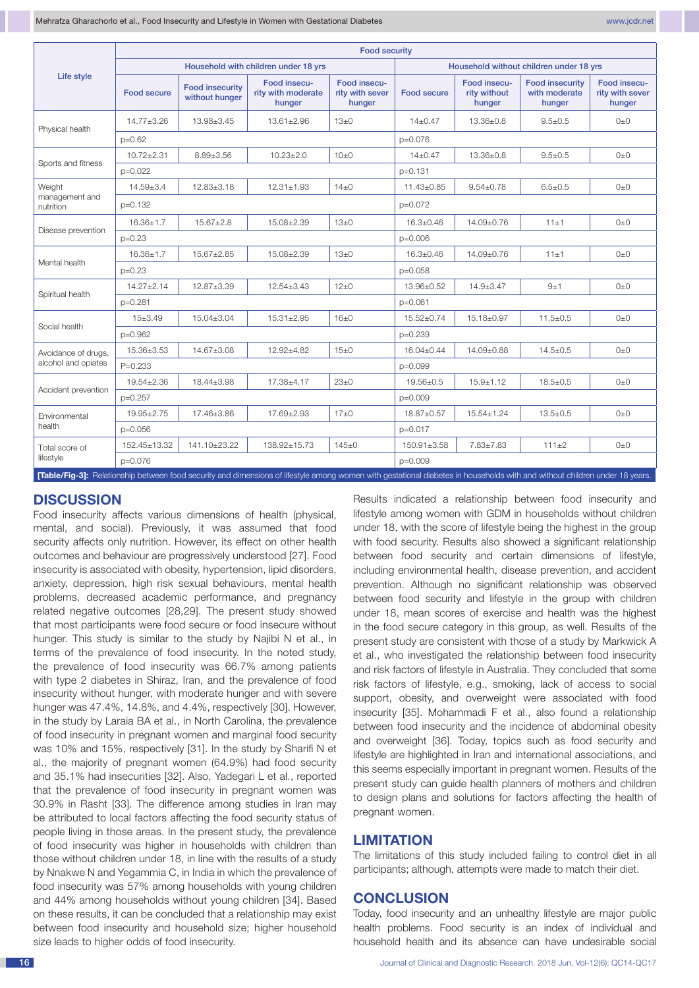|                                                                                                                                                                             | <b>Food security</b>                 |                                          |                                              |                                           |                    |                                        |                                                   |                                           |  |  |
|-----------------------------------------------------------------------------------------------------------------------------------------------------------------------------|--------------------------------------|------------------------------------------|----------------------------------------------|-------------------------------------------|--------------------|----------------------------------------|---------------------------------------------------|-------------------------------------------|--|--|
| Life style                                                                                                                                                                  | Household with children under 18 yrs |                                          |                                              | Household without children under 18 yrs   |                    |                                        |                                                   |                                           |  |  |
|                                                                                                                                                                             | <b>Food secure</b>                   | <b>Food insecurity</b><br>without hunger | Food insecu-<br>rity with moderate<br>hunger | Food insecu-<br>rity with sever<br>hunger | <b>Food secure</b> | Food insecu-<br>rity without<br>hunger | <b>Food insecurity</b><br>with moderate<br>hunger | Food insecu-<br>rity with sever<br>hunger |  |  |
| Physical health                                                                                                                                                             | $14.77 + 3.26$                       | 13.98±3.45                               | $13.61 \pm 2.96$                             | $13\pm0$                                  | $14 + 0.47$        | 13.36±0.8                              | $9.5 \pm 0.5$                                     | $0\pm 0$                                  |  |  |
|                                                                                                                                                                             | $p=0.62$                             |                                          |                                              |                                           | $p=0.076$          |                                        |                                                   |                                           |  |  |
| Sports and fitness                                                                                                                                                          | $10.72 \pm 2.31$                     | $8.89 \pm 3.56$                          | $10.23 \pm 2.0$                              | $10\pm 0$                                 | $14\pm0.47$        | 13.36±0.8                              | $9.5 \pm 0.5$                                     | $0\pm 0$                                  |  |  |
|                                                                                                                                                                             | $p=0.022$                            |                                          |                                              |                                           | $p=0.131$          |                                        |                                                   |                                           |  |  |
| Weight<br>management and<br>nutrition                                                                                                                                       | $14.59 \pm 3.4$                      | $12.83 \pm 3.18$                         | $12.31 \pm 1.93$                             | $14+0$                                    | $11.43 \pm 0.85$   | $9.54 \pm 0.78$                        | $6.5 \pm 0.5$                                     | $() + ()$                                 |  |  |
|                                                                                                                                                                             | $p=0.132$                            |                                          |                                              |                                           | p=0.072            |                                        |                                                   |                                           |  |  |
| Disease prevention                                                                                                                                                          | $16.36 + 1.7$                        | $15.67 + 2.8$                            | 15.08+2.39                                   | $13+0$                                    | $16.3 + 0.46$      | $14.09 + 0.76$                         | $11+1$                                            | $() + ()$                                 |  |  |
|                                                                                                                                                                             | $p=0.23$                             |                                          |                                              | $p=0.006$                                 |                    |                                        |                                                   |                                           |  |  |
| Mental health                                                                                                                                                               | 16.36±1.7                            | 15.67±2.85                               | 15.08±2.39                                   | $13\pm0$                                  | $16.3 + 0.46$      | 14.09±0.76                             | 11±1                                              | $() + ()$                                 |  |  |
|                                                                                                                                                                             | $p=0.23$                             |                                          |                                              | $p=0.058$                                 |                    |                                        |                                                   |                                           |  |  |
| Spiritual health                                                                                                                                                            | $14.27 \pm 2.14$                     | $12.87 \pm 3.39$                         | $12.54 \pm 3.43$                             | $12\pm0$                                  | 13.96±0.52         | $14.9 \pm 3.47$                        | 9±1                                               | $0\pm 0$                                  |  |  |
|                                                                                                                                                                             | p=0.281                              |                                          |                                              | p=0.061                                   |                    |                                        |                                                   |                                           |  |  |
| Social health                                                                                                                                                               | $15 + 3.49$                          | 15.04±3.04                               | $15.31 \pm 2.95$                             | $16\pm0$                                  | $15.52 \pm 0.74$   | 15.18±0.97                             | $11.5 \pm 0.5$                                    | $() + ()$                                 |  |  |
|                                                                                                                                                                             | $p=0.962$                            |                                          |                                              |                                           | $p=0.239$          |                                        |                                                   |                                           |  |  |
| Avoidance of drugs,<br>alcohol and opiates                                                                                                                                  | 15.36±3.53                           | 14.67±3.08                               | 12.92±4.82                                   | $15\pm0$                                  | $16.04 \pm 0.44$   | 14.09±0.88                             | $14.5 \pm 0.5$                                    | $0\pm 0$                                  |  |  |
|                                                                                                                                                                             | $P = 0.233$                          |                                          |                                              | p=0.099                                   |                    |                                        |                                                   |                                           |  |  |
| Accident prevention                                                                                                                                                         | $19.54 + 2.36$                       | 18.44+3.98                               | $17.38 + 4.17$                               | $23+0$                                    | $19.56 + 0.5$      | $15.9 + 1.12$                          | $18.5 \pm 0.5$                                    | $() + ()$                                 |  |  |
|                                                                                                                                                                             | $p=0.257$                            |                                          |                                              | $p=0.009$                                 |                    |                                        |                                                   |                                           |  |  |
| Environmental<br>health                                                                                                                                                     | $19.95 \pm 2.75$                     | 17.46±3.86                               | 17.69±2.93                                   | $17\pm0$                                  | 18.87±0.57         | $15.54 \pm 1.24$                       | $13.5 \pm 0.5$                                    | $() + ()$                                 |  |  |
|                                                                                                                                                                             | $p = 0.056$                          |                                          |                                              | $p=0.017$                                 |                    |                                        |                                                   |                                           |  |  |
| Total score of<br>lifestyle                                                                                                                                                 | 152.45±13.32                         | 141.10±23.22                             | 138.92±15.73                                 | $145+0$                                   | 150.91±3.58        | $7.83 + 7.83$                          | $111+2$                                           | $0\pm 0$                                  |  |  |
|                                                                                                                                                                             | $p=0.076$                            |                                          |                                              |                                           | $p=0.009$          |                                        |                                                   |                                           |  |  |
| [Table/Fig-3]: Relationship between food security and dimensions of lifestyle among women with gestational diabetes in households with and without children under 18 years. |                                      |                                          |                                              |                                           |                    |                                        |                                                   |                                           |  |  |

# **Discussion**

Food insecurity affects various dimensions of health (physical, mental, and social). Previously, it was assumed that food security affects only nutrition. However, its effect on other health outcomes and behaviour are progressively understood [27]. Food insecurity is associated with obesity, hypertension, lipid disorders, anxiety, depression, high risk sexual behaviours, mental health problems, decreased academic performance, and pregnancy related negative outcomes [28,29]. The present study showed that most participants were food secure or food insecure without hunger. This study is similar to the study by Najibi N et al., in terms of the prevalence of food insecurity. In the noted study, the prevalence of food insecurity was 66.7% among patients with type 2 diabetes in Shiraz, Iran, and the prevalence of food insecurity without hunger, with moderate hunger and with severe hunger was 47.4%, 14.8%, and 4.4%, respectively [30]. However, in the study by Laraia BA et al., in North Carolina, the prevalence of food insecurity in pregnant women and marginal food security was 10% and 15%, respectively [31]. In the study by Sharifi N et al., the majority of pregnant women (64.9%) had food security and 35.1% had insecurities [32]. Also, Yadegari L et al., reported that the prevalence of food insecurity in pregnant women was 30.9% in Rasht [33]. The difference among studies in Iran may be attributed to local factors affecting the food security status of people living in those areas. In the present study, the prevalence of food insecurity was higher in households with children than those without children under 18, in line with the results of a study by Nnakwe N and Yegammia C, in India in which the prevalence of food insecurity was 57% among households with young children and 44% among households without young children [34]. Based on these results, it can be concluded that a relationship may exist between food insecurity and household size; higher household size leads to higher odds of food insecurity.

Results indicated a relationship between food insecurity and lifestyle among women with GDM in households without children under 18, with the score of lifestyle being the highest in the group with food security. Results also showed a significant relationship between food security and certain dimensions of lifestyle, including environmental health, disease prevention, and accident prevention. Although no significant relationship was observed between food security and lifestyle in the group with children under 18, mean scores of exercise and health was the highest in the food secure category in this group, as well. Results of the present study are consistent with those of a study by Markwick A et al., who investigated the relationship between food insecurity and risk factors of lifestyle in Australia. They concluded that some risk factors of lifestyle, e.g., smoking, lack of access to social support, obesity, and overweight were associated with food insecurity [35]. Mohammadi F et al., also found a relationship between food insecurity and the incidence of abdominal obesity and overweight [36]. Today, topics such as food security and lifestyle are highlighted in Iran and international associations, and this seems especially important in pregnant women. Results of the present study can guide health planners of mothers and children to design plans and solutions for factors affecting the health of pregnant women.

## **Limitation**

The limitations of this study included failing to control diet in all participants; although, attempts were made to match their diet.

# **Conclusion**

Today, food insecurity and an unhealthy lifestyle are major public health problems. Food security is an index of individual and household health and its absence can have undesirable social